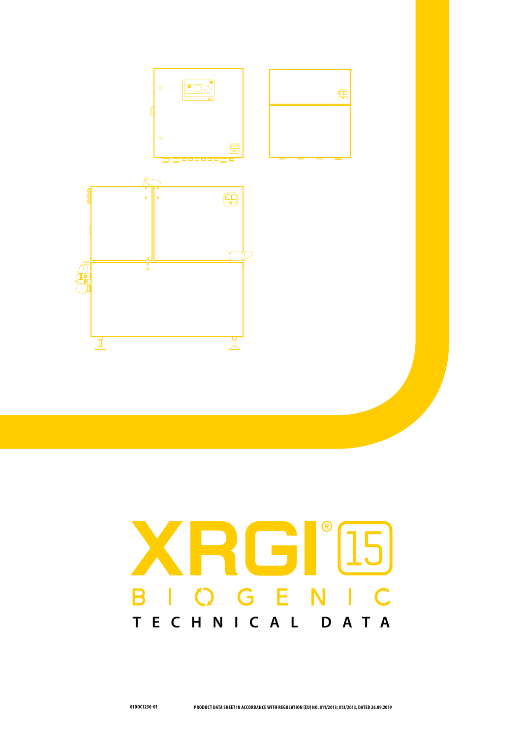

## XRGI'I5 BIOGENIC **TECHNICAL DATA**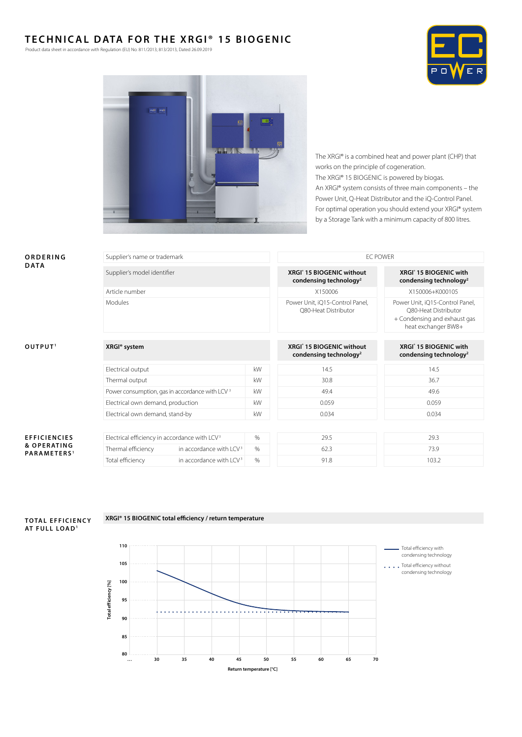## **TECHNICAL DATA FOR THE XRGI® 15 BIOGENIC**

Product data sheet in accordance with Regulation (EU) No. 811/2013; 813/2013, Dated 26.09.2019





The XRGI® is a combined heat and power plant (CHP) that works on the principle of cogeneration. The XRGI® 15 BIOGENIC is powered by biogas. An XRGI® system consists of three main components – the Power Unit, Q-Heat Distributor and the iQ-Control Panel. For optimal operation you should extend your XRGI® system by a Storage Tank with a minimum capacity of 800 litres.

| ORDERING<br><b>DATA</b>                                       | Supplier's name or trademark                                      |                                     |      | <b>EC POWER</b>                                                             |                                                                                                                |  |  |
|---------------------------------------------------------------|-------------------------------------------------------------------|-------------------------------------|------|-----------------------------------------------------------------------------|----------------------------------------------------------------------------------------------------------------|--|--|
|                                                               | Supplier's model identifier                                       |                                     |      | XRGI <sup>®</sup> 15 BIOGENIC without<br>condensing technology <sup>2</sup> | XRGI <sup>®</sup> 15 BIOGENIC with<br>condensing technology <sup>2</sup>                                       |  |  |
|                                                               | Article number                                                    |                                     |      | X150006                                                                     | X150006+K000105                                                                                                |  |  |
|                                                               | Modules                                                           |                                     |      | Power Unit, iQ15-Control Panel,<br>O80-Heat Distributor                     | Power Unit, iQ15-Control Panel,<br>O80-Heat Distributor<br>+ Condensing and exhaust gas<br>heat exchanger BW8+ |  |  |
|                                                               |                                                                   |                                     |      |                                                                             |                                                                                                                |  |  |
| OUTPUT <sup>1</sup>                                           | XRGI <sup>®</sup> system                                          |                                     |      | XRGI <sup>®</sup> 15 BIOGENIC without<br>condensing technology <sup>2</sup> | XRGI <sup>®</sup> 15 BIOGENIC with<br>condensing technology <sup>2</sup>                                       |  |  |
|                                                               | Electrical output                                                 |                                     | kW   | 14.5                                                                        | 14.5                                                                                                           |  |  |
|                                                               | Thermal output                                                    |                                     | kW   | 30.8                                                                        | 36.7                                                                                                           |  |  |
|                                                               | Power consumption, gas in accordance with LCV <sup>3</sup>        |                                     | kW   | 49.4                                                                        | 49.6                                                                                                           |  |  |
|                                                               | Electrical own demand, production                                 |                                     | kW   | 0.059                                                                       | 0.059                                                                                                          |  |  |
|                                                               | kW<br>Electrical own demand, stand-by                             |                                     |      | 0.034                                                                       | 0.034                                                                                                          |  |  |
|                                                               |                                                                   |                                     |      |                                                                             |                                                                                                                |  |  |
| <b>EFFICIENCIES</b><br>& OPERATING<br>PARAMETERS <sup>1</sup> | $\%$<br>Electrical efficiency in accordance with LCV <sup>3</sup> |                                     |      | 29.5                                                                        | 29.3                                                                                                           |  |  |
|                                                               | Thermal efficiency                                                | in accordance with LCV <sup>3</sup> | $\%$ | 62.3                                                                        | 73.9                                                                                                           |  |  |
|                                                               | Total efficiency                                                  | in accordance with LCV <sup>3</sup> | %    | 91.8                                                                        | 103.2                                                                                                          |  |  |
|                                                               |                                                                   |                                     |      |                                                                             |                                                                                                                |  |  |



## **XRGI® 15 BIOGENIC total efficiency / return temperature**

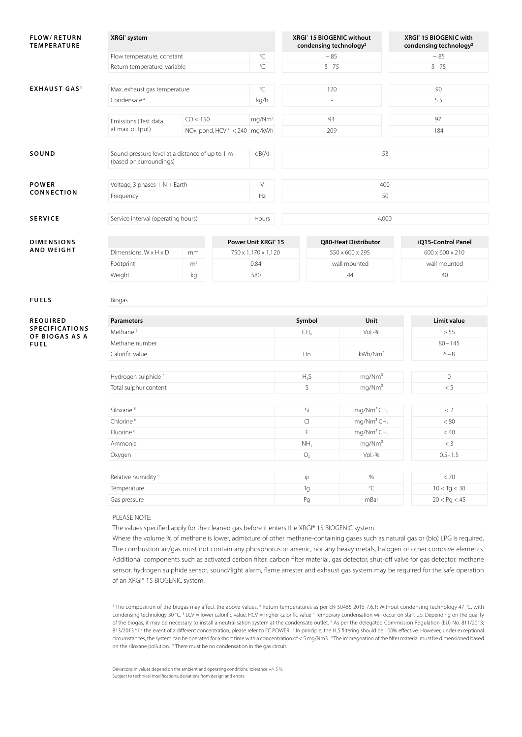| <b>FLOW/RETURN</b><br><b>TEMPERATURE</b> | XRGI <sup>®</sup> system                                                   |                |                                            |                                 | XRGI® 15 BIOGENIC without<br>condensing technology <sup>2</sup> |                                    |    | XRGI® 15 BIOGENIC with<br>condensing technology <sup>2</sup> |  |  |
|------------------------------------------|----------------------------------------------------------------------------|----------------|--------------------------------------------|---------------------------------|-----------------------------------------------------------------|------------------------------------|----|--------------------------------------------------------------|--|--|
|                                          | Flow temperature, constant                                                 |                |                                            | °C                              |                                                                 | $~\sim 85$                         |    | $\sim 85$                                                    |  |  |
|                                          | Return temperature, variable                                               |                |                                            | °C                              |                                                                 | $5 - 75$                           |    | $5 - 75$                                                     |  |  |
|                                          |                                                                            |                |                                            |                                 |                                                                 |                                    |    |                                                              |  |  |
| <b>EXHAUST GAS<sup>1</sup></b>           | Max. exhaust gas temperature                                               |                |                                            | °C                              |                                                                 | 120                                |    | 90                                                           |  |  |
|                                          | Condensate <sup>4</sup>                                                    |                |                                            | kg/h                            | $\omega$                                                        |                                    |    | 5.5                                                          |  |  |
|                                          |                                                                            |                |                                            |                                 |                                                                 |                                    |    |                                                              |  |  |
|                                          | Emissions (Test data<br>at max. output)                                    | CO < 150       |                                            | mg/Nm <sup>3</sup>              | 93                                                              |                                    |    | 97                                                           |  |  |
|                                          |                                                                            |                | NOx, pond, HCV <sup>3,5</sup> < 240 mg/kWh |                                 |                                                                 | 209                                |    | 184                                                          |  |  |
|                                          |                                                                            |                |                                            |                                 |                                                                 |                                    |    |                                                              |  |  |
| SOUND                                    | Sound pressure level at a distance of up to 1 m<br>(based on surroundings) |                |                                            | dB(A)                           | 53                                                              |                                    |    |                                                              |  |  |
|                                          |                                                                            |                |                                            |                                 |                                                                 |                                    |    |                                                              |  |  |
| POWER                                    | Voltage, 3 phases $+ N + Earth$                                            |                |                                            | $\vee$                          | 400                                                             |                                    |    |                                                              |  |  |
| CONNECTION                               | Frequency                                                                  |                |                                            | Hz                              |                                                                 |                                    | 50 |                                                              |  |  |
|                                          |                                                                            |                |                                            |                                 |                                                                 |                                    |    |                                                              |  |  |
| <b>SERVICE</b>                           | Service interval (operating hours)                                         |                |                                            | Hours                           | 4,000                                                           |                                    |    |                                                              |  |  |
|                                          |                                                                            |                |                                            |                                 |                                                                 |                                    |    |                                                              |  |  |
| <b>DIMENSIONS</b>                        |                                                                            |                |                                            | Power Unit XRGI <sup>®</sup> 15 |                                                                 | Q80-Heat Distributor               |    | iQ15-Control Panel                                           |  |  |
| <b>AND WEIGHT</b>                        | Dimensions, W x H x D                                                      | mm             |                                            | 750 x 1,170 x 1,120             |                                                                 | 550 x 600 x 295                    |    | 600 x 600 x 210                                              |  |  |
|                                          | Footprint                                                                  | m <sup>2</sup> |                                            | 0.84                            |                                                                 | wall mounted                       |    | wall mounted                                                 |  |  |
|                                          | Weight                                                                     | kg             |                                            | 580                             |                                                                 | 44                                 |    | 40                                                           |  |  |
|                                          |                                                                            |                |                                            |                                 |                                                                 |                                    |    |                                                              |  |  |
| <b>FUELS</b>                             | Biogas                                                                     |                |                                            |                                 |                                                                 |                                    |    |                                                              |  |  |
|                                          |                                                                            |                |                                            |                                 |                                                                 |                                    |    |                                                              |  |  |
| <b>REQUIRED</b>                          | <b>Parameters</b>                                                          |                |                                            |                                 | Symbol                                                          | Unit                               |    | Limit value                                                  |  |  |
| SPECIFICATIONS                           | Methane <sup>6</sup>                                                       |                | CH <sub>4</sub>                            |                                 |                                                                 | > 55                               |    |                                                              |  |  |
| OF BIOGAS AS A<br><b>FUEL</b>            | Methane number                                                             |                |                                            |                                 |                                                                 | $Vol.-%$                           |    | $80 - 145$                                                   |  |  |
|                                          | Calorific value                                                            |                | Hn<br>kWh/Nm <sup>3</sup>                  |                                 |                                                                 | $6 - 8$                            |    |                                                              |  |  |
|                                          |                                                                            |                |                                            |                                 |                                                                 |                                    |    |                                                              |  |  |
|                                          | Hydrogen sulphide <sup>7</sup>                                             |                |                                            |                                 |                                                                 | mg/Nm <sup>3</sup>                 |    | $\circ$                                                      |  |  |
|                                          | Total sulphur content                                                      |                |                                            | $H_2S$<br>S                     |                                                                 | mg/Nm <sup>3</sup>                 |    | < 5                                                          |  |  |
|                                          |                                                                            |                |                                            |                                 |                                                                 |                                    |    |                                                              |  |  |
|                                          | Siloxane <sup>8</sup>                                                      |                |                                            |                                 |                                                                 | mg/Nm <sup>3</sup> $CH4$<br>Si     |    | < 2                                                          |  |  |
|                                          | Chlorine <sup>6</sup><br>Fluorine <sup>6</sup>                             |                |                                            |                                 | $\subset$                                                       | mg/Nm <sup>3</sup> $CH4$           |    | < 80                                                         |  |  |
|                                          |                                                                            |                |                                            |                                 | F                                                               | mg/Nm <sup>3</sup> CH <sub>4</sub> |    | < 40                                                         |  |  |
|                                          | Ammonia                                                                    |                |                                            |                                 | NH <sub>3</sub>                                                 | mg/Nm <sup>3</sup>                 |    | $<$ 3                                                        |  |  |
|                                          | Oxygen                                                                     |                |                                            |                                 | O <sub>2</sub>                                                  | $Vol.-%$                           |    | $0.5 - 1.5$                                                  |  |  |
|                                          |                                                                            |                |                                            |                                 |                                                                 |                                    |    |                                                              |  |  |

| Relative humidity <sup>9</sup> | CD. | %    |                          |
|--------------------------------|-----|------|--------------------------|
| Temperature                    |     |      | 10 < T <sub>G</sub> < 30 |
| Gas pressure                   | Pc. | mBar | $20 <$ Pg $<$ 45         |

## PLEASE NOTE:

The values specified apply for the cleaned gas before it enters the XRGI® 15 BIOGENIC system.

Where the volume % of methane is lower, admixture of other methane-containing gases such as natural gas or (bio) LPG is required. The combustion air/gas must not contain any phosphorus or arsenic, nor any heavy metals, halogen or other corrosive elements. Additional components such as activated carbon filter, carbon filter material, gas detector, shut-off valve for gas detector, methane sensor, hydrogen sulphide sensor, sound/light alarm, flame arrester and exhaust gas system may be required for the safe operation of an XRGI® 15 BIOGENIC system.

<sup>1</sup> The composition of the biogas may affect the above values. <sup>2</sup> Return temperatures as per EN 50465 2015 7.6.1: Without condensing technology 47 °C, with condensing technology 30 °C.<sup>3</sup> LCV = lower calorific value, HCV = higher calorific value <sup>4</sup> Temporary condensation will occur on start-up. Depending on the quality of the biogas, it may be necessary to install a neutralisation system at the condensate outlet.<sup>5</sup> As per the delegated Commission Regulation (EU) No. 811/2013; 813/2013<sup>6</sup> In the event of a different concentration, please refer to EC POWER. <sup>7</sup> In principle, the H<sub>2</sub>S filtering should be 100% effective. However, under exceptional circumstances, the system can be operated for a short time with a concentration of < 5 mg/Nm3. <sup>8</sup> The impregnation of the filter material must be dimensioned based on the siloxane pollution. <sup>9</sup> There must be no condensation in the gas circuit

Deviations in values depend on the ambient and operating conditions, tolerance +/- 5 %. Subject to technical modifications, deviations from design and errors.